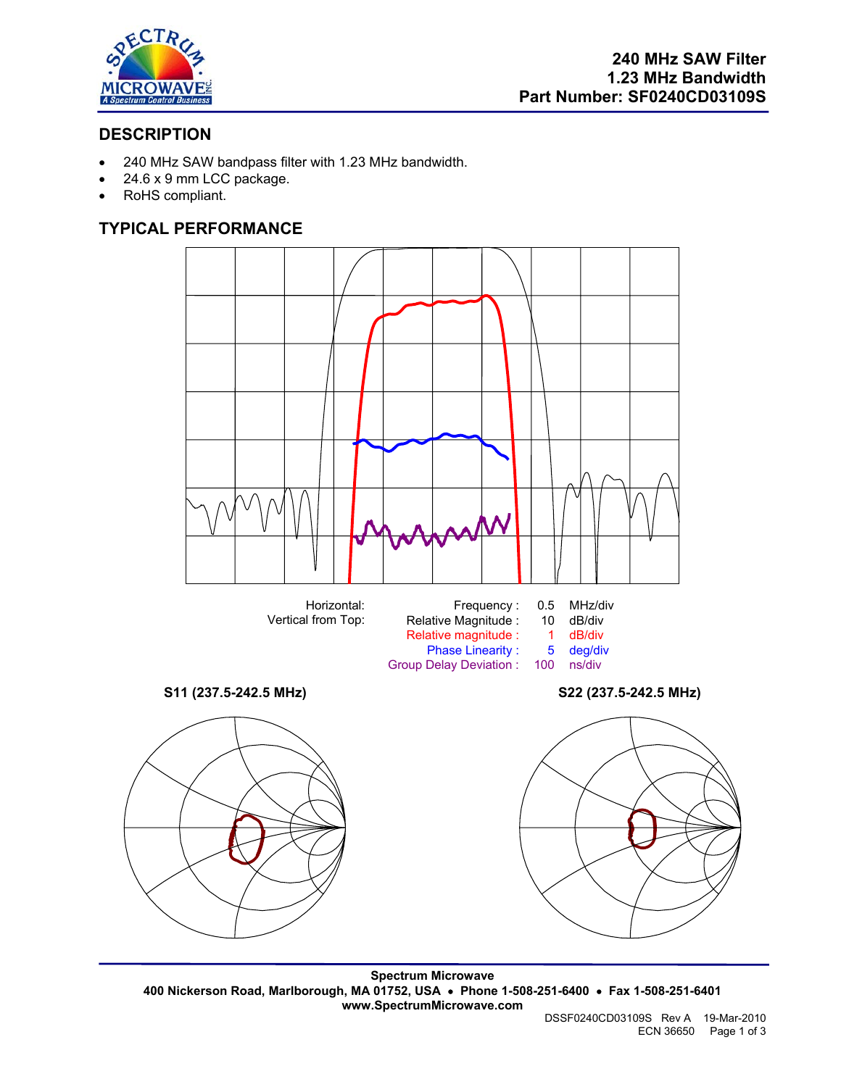

# **DESCRIPTION**

- 240 MHz SAW bandpass filter with 1.23 MHz bandwidth.
- 24.6 x 9 mm LCC package.
- RoHS compliant.

# **TYPICAL PERFORMANCE**





**Spectrum Microwave 400 Nickerson Road, Marlborough, MA 01752, USA** • **Phone 1-508-251-6400** • **Fax 1-508-251-6401 www.SpectrumMicrowave.com** 

DSSF0240CD03109S Rev A 19-Mar-2010 ECN 36650 Page 1 of 3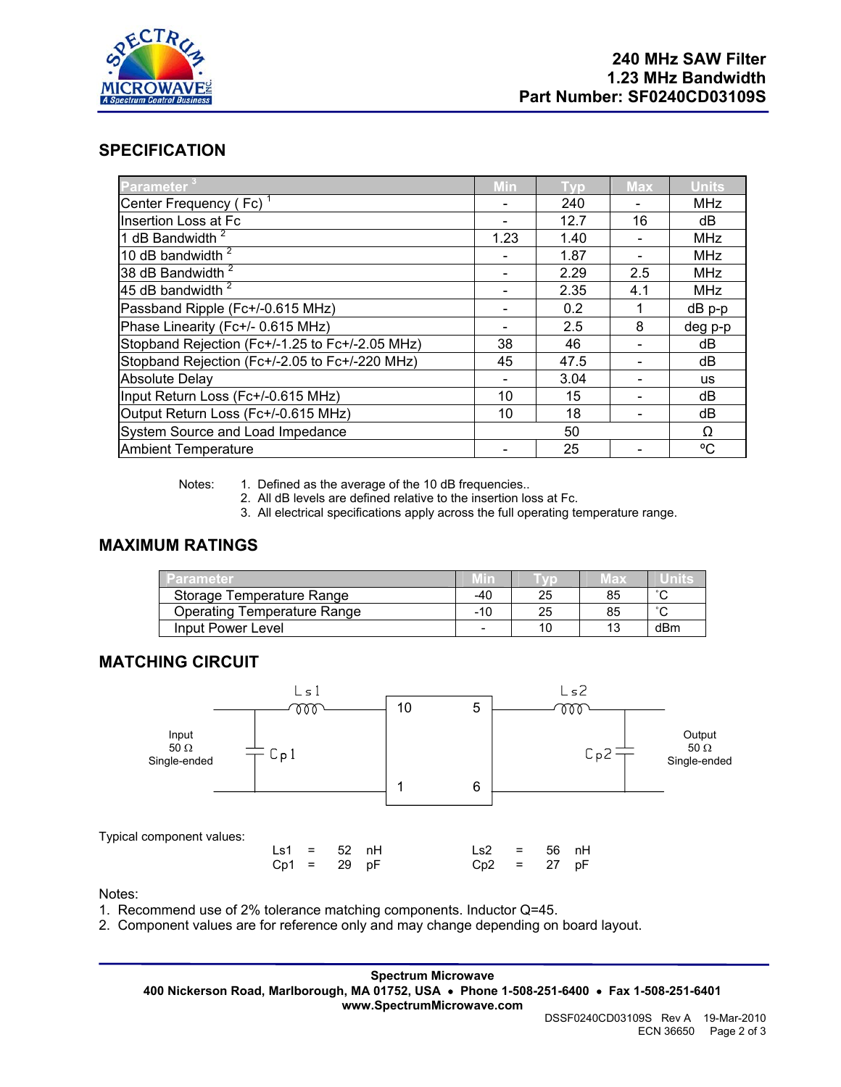

## **SPECIFICATION**

| Parameter                                       | <b>Min</b> | Tvp  | <b>Max</b> | <b>Units</b> |
|-------------------------------------------------|------------|------|------------|--------------|
| Center Frequency (Fc) <sup>1</sup>              |            | 240  |            | <b>MHz</b>   |
| Insertion Loss at Fc                            |            | 12.7 | 16         | dB           |
| 1 dB Bandwidth <sup>2</sup>                     | 1.23       | 1.40 |            | <b>MHz</b>   |
| 10 dB bandwidth <sup>2</sup>                    |            | 1.87 |            | <b>MHz</b>   |
| 38 dB Bandwidth <sup>2</sup>                    |            | 2.29 | 2.5        | <b>MHz</b>   |
| 45 dB bandwidth $2$                             |            | 2.35 | 4.1        | <b>MHz</b>   |
| Passband Ripple (Fc+/-0.615 MHz)                |            | 0.2  |            | $dB$ p-p     |
| Phase Linearity (Fc+/- 0.615 MHz)               |            | 2.5  | 8          | deg p-p      |
| Stopband Rejection (Fc+/-1.25 to Fc+/-2.05 MHz) | 38         | 46   |            | dB           |
| Stopband Rejection (Fc+/-2.05 to Fc+/-220 MHz)  | 45         | 47.5 |            | dB           |
| <b>Absolute Delay</b>                           |            | 3.04 |            | <b>us</b>    |
| Input Return Loss (Fc+/-0.615 MHz)              | 10         | 15   |            | dB           |
| Output Return Loss (Fc+/-0.615 MHz)             | 10         | 18   |            | dB           |
| System Source and Load Impedance                |            | 50   |            | Ω            |
| <b>Ambient Temperature</b>                      |            | 25   |            | °C           |

Notes: 1. Defined as the average of the 10 dB frequencies..

2. All dB levels are defined relative to the insertion loss at Fc.

3. All electrical specifications apply across the full operating temperature range.

## **MAXIMUM RATINGS**

| Parameter                          |     |    | ∥ах | units  |
|------------------------------------|-----|----|-----|--------|
| Storage Temperature Range          | -40 | 25 | 85  | $\sim$ |
| <b>Operating Temperature Range</b> | -10 | 25 | 85  | $\sim$ |
| Input Power Level                  | -   | 10 | 13  | dBm    |

### **MATCHING CIRCUIT**



Notes:

- 1. Recommend use of 2% tolerance matching components. Inductor Q=45.
- 2. Component values are for reference only and may change depending on board layout.

**Spectrum Microwave 400 Nickerson Road, Marlborough, MA 01752, USA** • **Phone 1-508-251-6400** • **Fax 1-508-251-6401 www.SpectrumMicrowave.com**